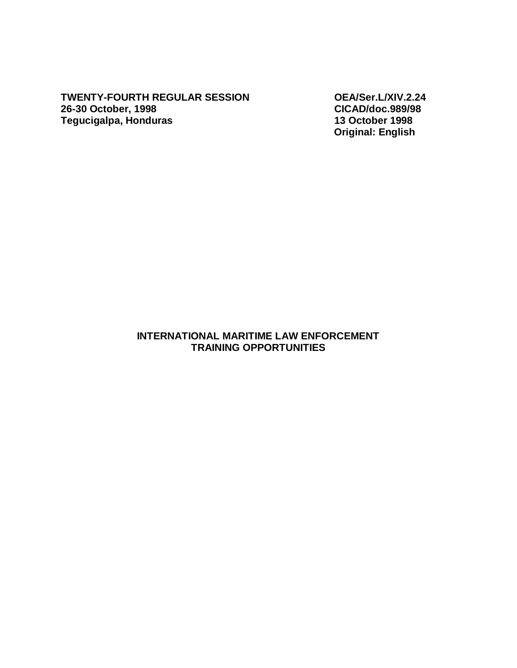**TWENTY-FOURTH REGULAR SESSION OEA/Ser.L/XIV.2.24 26-30 October, 1998 CICAD/doc.989/98 Tegucigalpa, Honduras** 

 **Original: English** 

#### **INTERNATIONAL MARITIME LAW ENFORCEMENT TRAINING OPPORTUNITIES**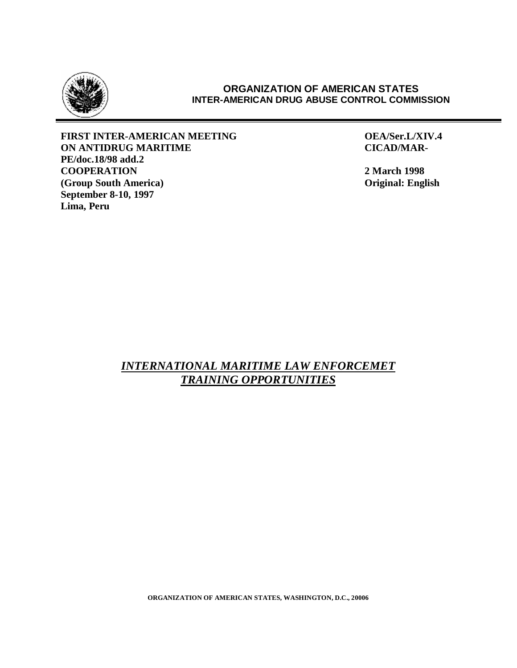

#### **ORGANIZATION OF AMERICAN STATES INTER-AMERICAN DRUG ABUSE CONTROL COMMISSION**

**FIRST INTER-AMERICAN MEETING OEA/Ser.L/XIV.4 ON ANTIDRUG MARITIME CICAD/MAR-PE/doc.18/98 add.2 COOPERATION** 2 March 1998<br> **COOPERATION** 2 March 1998<br> **Cooperation** 2 March 1998 **(Group South America) September 8-10, 1997 Lima, Peru** 

## *INTERNATIONAL MARITIME LAW ENFORCEMET TRAINING OPPORTUNITIES*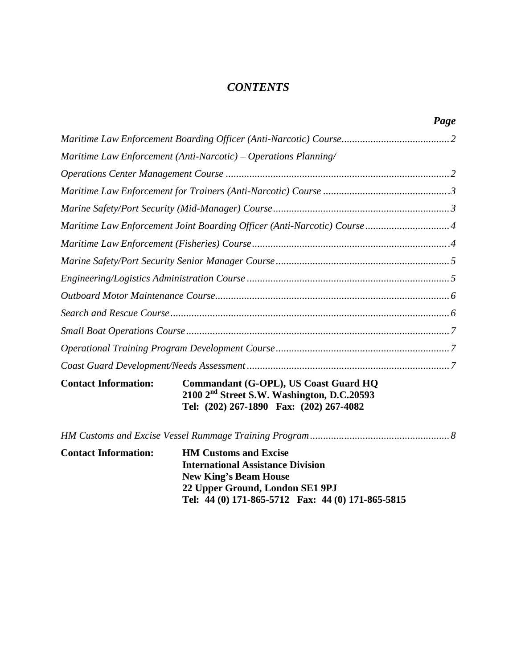# *CONTENTS*

|                             |                                                                                                                                             | Page |
|-----------------------------|---------------------------------------------------------------------------------------------------------------------------------------------|------|
|                             |                                                                                                                                             |      |
|                             | Maritime Law Enforcement (Anti-Narcotic) – Operations Planning/                                                                             |      |
|                             |                                                                                                                                             |      |
|                             |                                                                                                                                             |      |
|                             |                                                                                                                                             |      |
|                             | Maritime Law Enforcement Joint Boarding Officer (Anti-Narcotic) Course 4                                                                    |      |
|                             |                                                                                                                                             |      |
|                             |                                                                                                                                             |      |
|                             |                                                                                                                                             |      |
|                             |                                                                                                                                             |      |
|                             |                                                                                                                                             |      |
|                             |                                                                                                                                             |      |
|                             |                                                                                                                                             |      |
|                             |                                                                                                                                             |      |
| <b>Contact Information:</b> | Commandant (G-OPL), US Coast Guard HQ<br>2100 2 <sup>nd</sup> Street S.W. Washington, D.C.20593<br>Tel: (202) 267-1890 Fax: (202) 267-4082  |      |
|                             |                                                                                                                                             |      |
| <b>Contact Information:</b> | <b>HM Customs and Excise</b><br><b>International Assistance Division</b><br><b>New King's Beam House</b><br>22 Upper Ground, London SE1 9PJ |      |

**Tel: 44 (0) 171-865-5712 Fax: 44 (0) 171-865-5815**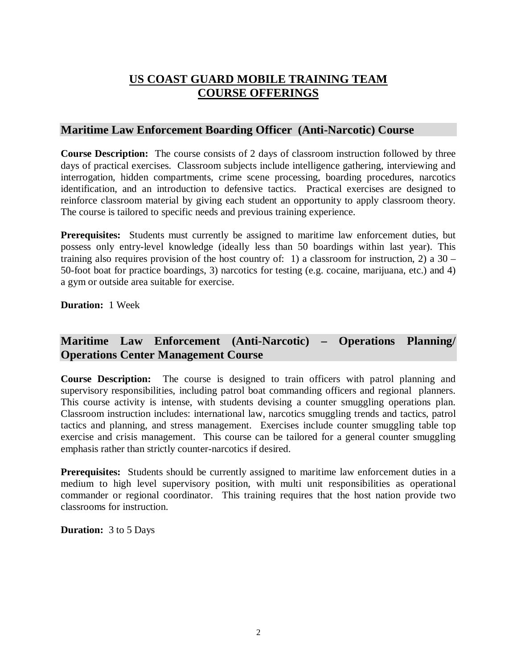# **US COAST GUARD MOBILE TRAINING TEAM COURSE OFFERINGS**

### **Maritime Law Enforcement Boarding Officer (Anti-Narcotic) Course**

**Course Description:** The course consists of 2 days of classroom instruction followed by three days of practical exercises. Classroom subjects include intelligence gathering, interviewing and interrogation, hidden compartments, crime scene processing, boarding procedures, narcotics identification, and an introduction to defensive tactics. Practical exercises are designed to reinforce classroom material by giving each student an opportunity to apply classroom theory. The course is tailored to specific needs and previous training experience.

**Prerequisites:** Students must currently be assigned to maritime law enforcement duties, but possess only entry-level knowledge (ideally less than 50 boardings within last year). This training also requires provision of the host country of: 1) a classroom for instruction, 2) a  $30 -$ 50-foot boat for practice boardings, 3) narcotics for testing (e.g. cocaine, marijuana, etc.) and 4) a gym or outside area suitable for exercise.

**Duration:** 1 Week

# **Maritime Law Enforcement (Anti-Narcotic) – Operations Planning/ Operations Center Management Course**

**Course Description:** The course is designed to train officers with patrol planning and supervisory responsibilities, including patrol boat commanding officers and regional planners. This course activity is intense, with students devising a counter smuggling operations plan. Classroom instruction includes: international law, narcotics smuggling trends and tactics, patrol tactics and planning, and stress management. Exercises include counter smuggling table top exercise and crisis management. This course can be tailored for a general counter smuggling emphasis rather than strictly counter-narcotics if desired.

**Prerequisites:** Students should be currently assigned to maritime law enforcement duties in a medium to high level supervisory position, with multi unit responsibilities as operational commander or regional coordinator. This training requires that the host nation provide two classrooms for instruction.

**Duration:** 3 to 5 Days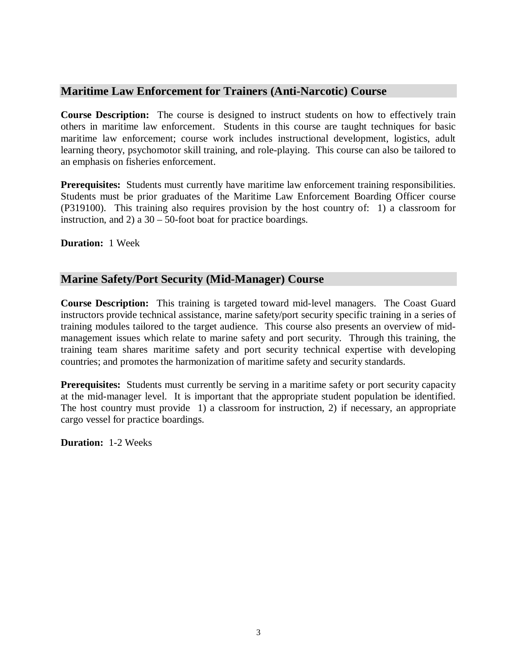## **Maritime Law Enforcement for Trainers (Anti-Narcotic) Course**

**Course Description:** The course is designed to instruct students on how to effectively train others in maritime law enforcement. Students in this course are taught techniques for basic maritime law enforcement; course work includes instructional development, logistics, adult learning theory, psychomotor skill training, and role-playing. This course can also be tailored to an emphasis on fisheries enforcement.

**Prerequisites:** Students must currently have maritime law enforcement training responsibilities. Students must be prior graduates of the Maritime Law Enforcement Boarding Officer course (P319100). This training also requires provision by the host country of: 1) a classroom for instruction, and 2) a 30 – 50-foot boat for practice boardings.

**Duration:** 1 Week

## **Marine Safety/Port Security (Mid-Manager) Course**

**Course Description:** This training is targeted toward mid-level managers. The Coast Guard instructors provide technical assistance, marine safety/port security specific training in a series of training modules tailored to the target audience. This course also presents an overview of midmanagement issues which relate to marine safety and port security. Through this training, the training team shares maritime safety and port security technical expertise with developing countries; and promotes the harmonization of maritime safety and security standards.

**Prerequisites:** Students must currently be serving in a maritime safety or port security capacity at the mid-manager level. It is important that the appropriate student population be identified. The host country must provide 1) a classroom for instruction, 2) if necessary, an appropriate cargo vessel for practice boardings.

**Duration:** 1-2 Weeks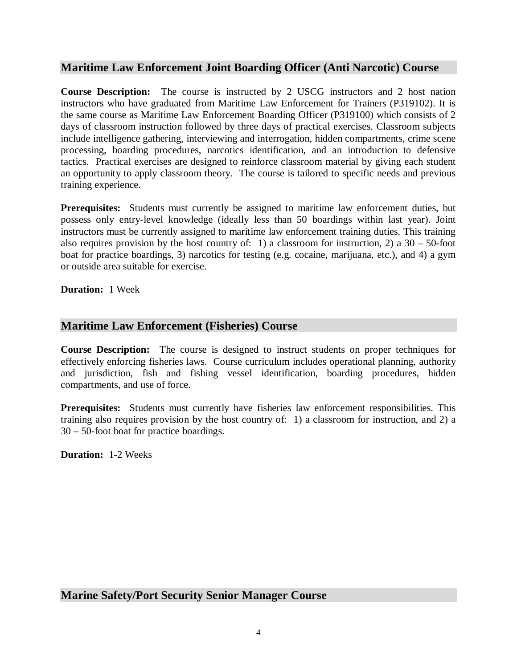### **Maritime Law Enforcement Joint Boarding Officer (Anti Narcotic) Course**

**Course Description:** The course is instructed by 2 USCG instructors and 2 host nation instructors who have graduated from Maritime Law Enforcement for Trainers (P319102). It is the same course as Maritime Law Enforcement Boarding Officer (P319100) which consists of 2 days of classroom instruction followed by three days of practical exercises. Classroom subjects include intelligence gathering, interviewing and interrogation, hidden compartments, crime scene processing, boarding procedures, narcotics identification, and an introduction to defensive tactics. Practical exercises are designed to reinforce classroom material by giving each student an opportunity to apply classroom theory. The course is tailored to specific needs and previous training experience.

**Prerequisites:** Students must currently be assigned to maritime law enforcement duties, but possess only entry-level knowledge (ideally less than 50 boardings within last year). Joint instructors must be currently assigned to maritime law enforcement training duties. This training also requires provision by the host country of: 1) a classroom for instruction, 2) a  $30 - 50$ -foot boat for practice boardings, 3) narcotics for testing (e.g. cocaine, marijuana, etc.), and 4) a gym or outside area suitable for exercise.

**Duration:** 1 Week

#### **Maritime Law Enforcement (Fisheries) Course**

**Course Description:** The course is designed to instruct students on proper techniques for effectively enforcing fisheries laws. Course curriculum includes operational planning, authority and jurisdiction, fish and fishing vessel identification, boarding procedures, hidden compartments, and use of force.

**Prerequisites:** Students must currently have fisheries law enforcement responsibilities. This training also requires provision by the host country of: 1) a classroom for instruction, and 2) a 30 – 50-foot boat for practice boardings.

**Duration:** 1-2 Weeks

## **Marine Safety/Port Security Senior Manager Course**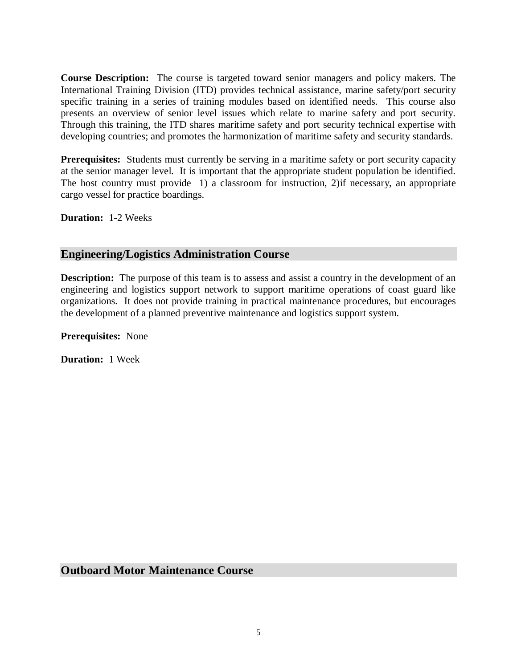**Course Description:** The course is targeted toward senior managers and policy makers. The International Training Division (ITD) provides technical assistance, marine safety/port security specific training in a series of training modules based on identified needs. This course also presents an overview of senior level issues which relate to marine safety and port security. Through this training, the ITD shares maritime safety and port security technical expertise with developing countries; and promotes the harmonization of maritime safety and security standards.

**Prerequisites:** Students must currently be serving in a maritime safety or port security capacity at the senior manager level. It is important that the appropriate student population be identified. The host country must provide 1) a classroom for instruction, 2)if necessary, an appropriate cargo vessel for practice boardings.

**Duration:** 1-2 Weeks

# **Engineering/Logistics Administration Course**

**Description:** The purpose of this team is to assess and assist a country in the development of an engineering and logistics support network to support maritime operations of coast guard like organizations. It does not provide training in practical maintenance procedures, but encourages the development of a planned preventive maintenance and logistics support system.

**Prerequisites:** None

**Duration:** 1 Week

**Outboard Motor Maintenance Course**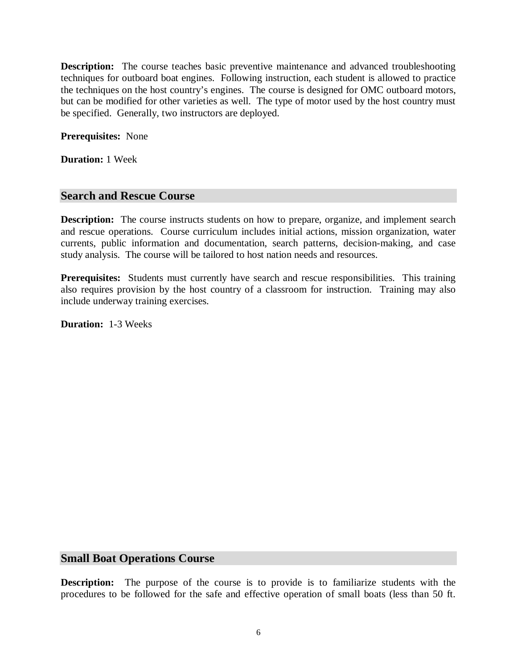**Description:** The course teaches basic preventive maintenance and advanced troubleshooting techniques for outboard boat engines. Following instruction, each student is allowed to practice the techniques on the host country's engines. The course is designed for OMC outboard motors, but can be modified for other varieties as well. The type of motor used by the host country must be specified. Generally, two instructors are deployed.

**Prerequisites:** None

**Duration:** 1 Week

#### **Search and Rescue Course**

**Description:** The course instructs students on how to prepare, organize, and implement search and rescue operations. Course curriculum includes initial actions, mission organization, water currents, public information and documentation, search patterns, decision-making, and case study analysis. The course will be tailored to host nation needs and resources.

**Prerequisites:** Students must currently have search and rescue responsibilities. This training also requires provision by the host country of a classroom for instruction. Training may also include underway training exercises.

**Duration:** 1-3 Weeks

#### **Small Boat Operations Course**

**Description:** The purpose of the course is to provide is to familiarize students with the procedures to be followed for the safe and effective operation of small boats (less than 50 ft.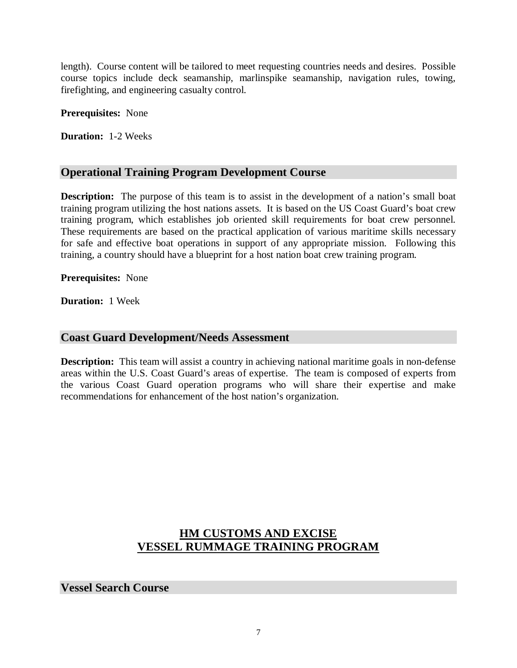length). Course content will be tailored to meet requesting countries needs and desires. Possible course topics include deck seamanship, marlinspike seamanship, navigation rules, towing, firefighting, and engineering casualty control.

**Prerequisites:** None

**Duration:** 1-2 Weeks

## **Operational Training Program Development Course**

**Description:** The purpose of this team is to assist in the development of a nation's small boat training program utilizing the host nations assets. It is based on the US Coast Guard's boat crew training program, which establishes job oriented skill requirements for boat crew personnel. These requirements are based on the practical application of various maritime skills necessary for safe and effective boat operations in support of any appropriate mission. Following this training, a country should have a blueprint for a host nation boat crew training program.

**Prerequisites:** None

**Duration:** 1 Week

## **Coast Guard Development/Needs Assessment**

**Description:** This team will assist a country in achieving national maritime goals in non-defense areas within the U.S. Coast Guard's areas of expertise. The team is composed of experts from the various Coast Guard operation programs who will share their expertise and make recommendations for enhancement of the host nation's organization.

# **HM CUSTOMS AND EXCISE VESSEL RUMMAGE TRAINING PROGRAM**

**Vessel Search Course**